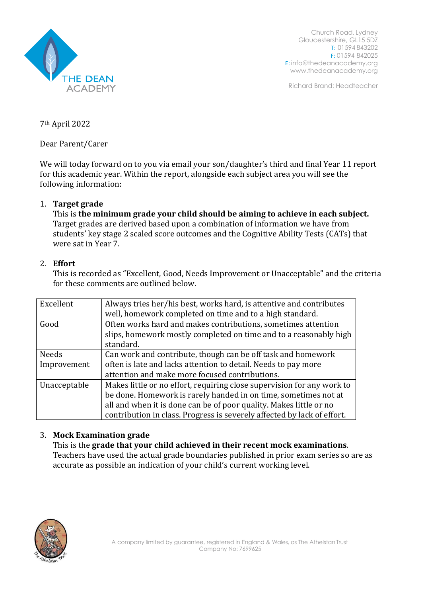

Church Road, Lydney Gloucestershire, GL15 5DZ T: 01594 843202 F: 01594 842025 E: [info@thedeanacademy.org](mailto:info@thedeanacademy.org) [www.thedeanacademy.org](http://www.thedeanacademy.org/)

Richard Brand: Headteacher

7th April 2022

Dear Parent/Carer

We will today forward on to you via email your son/daughter's third and final Year 11 report for this academic year. Within the report, alongside each subject area you will see the following information:

## 1. **Target grade**

This is **the minimum grade your child should be aiming to achieve in each subject.** Target grades are derived based upon a combination of information we have from students' key stage 2 scaled score outcomes and the Cognitive Ability Tests (CATs) that were sat in Year 7.

## 2. **Effort**

This is recorded as "Excellent, Good, Needs Improvement or Unacceptable" and the criteria for these comments are outlined below.

| Excellent    | Always tries her/his best, works hard, is attentive and contributes     |
|--------------|-------------------------------------------------------------------------|
|              | well, homework completed on time and to a high standard.                |
| Good         | Often works hard and makes contributions, sometimes attention           |
|              | slips, homework mostly completed on time and to a reasonably high       |
|              | standard.                                                               |
| <b>Needs</b> | Can work and contribute, though can be off task and homework            |
| Improvement  | often is late and lacks attention to detail. Needs to pay more          |
|              | attention and make more focused contributions.                          |
| Unacceptable | Makes little or no effort, requiring close supervision for any work to  |
|              | be done. Homework is rarely handed in on time, sometimes not at         |
|              | all and when it is done can be of poor quality. Makes little or no      |
|              | contribution in class. Progress is severely affected by lack of effort. |

## 3. **Mock Examination grade**

This is the **grade that your child achieved in their recent mock examinations**. Teachers have used the actual grade boundaries published in prior exam series so are as accurate as possible an indication of your child's current working level.